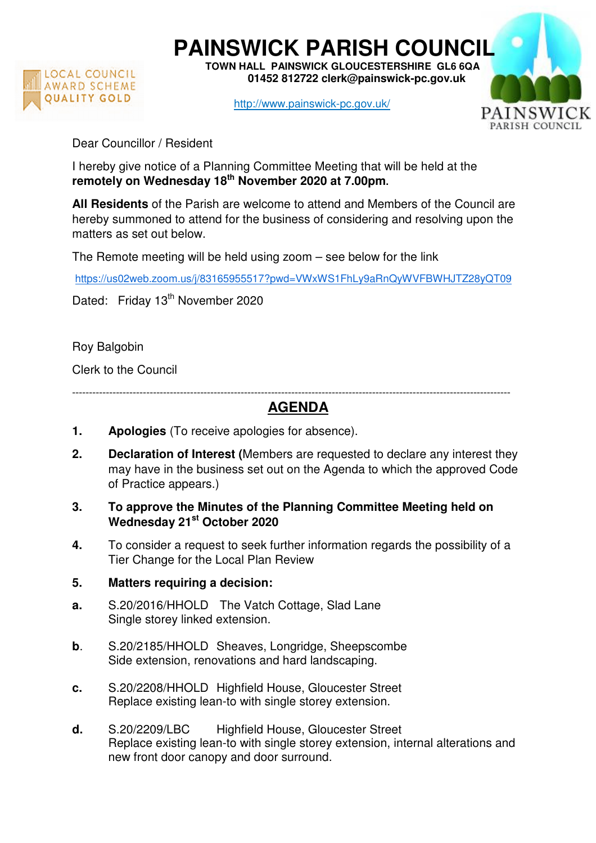

**PAINSWICK PARISH COUNCIL TOWN HALL PAINSWICK GLOUCESTERSHIRE GL6 6QA** 

 **01452 812722 clerk@painswick-pc.gov.uk** 

http://www.painswick-pc.gov.uk/



Dear Councillor / Resident

I hereby give notice of a Planning Committee Meeting that will be held at the **remotely on Wednesday 18th November 2020 at 7.00pm.**

**All Residents** of the Parish are welcome to attend and Members of the Council are hereby summoned to attend for the business of considering and resolving upon the matters as set out below.

The Remote meeting will be held using zoom – see below for the link

https://us02web.zoom.us/j/83165955517?pwd=VWxWS1FhLy9aRnQyWVFBWHJTZ28yQT09

Dated: Friday 13<sup>th</sup> November 2020

Roy Balgobin

Clerk to the Council

----------------------------------------------------------------------------------------------------------------------------------

## **AGENDA**

- **1. Apologies** (To receive apologies for absence).
- **2. Declaration of Interest (**Members are requested to declare any interest they may have in the business set out on the Agenda to which the approved Code of Practice appears.)
- **3. To approve the Minutes of the Planning Committee Meeting held on Wednesday 21st October 2020**
- **4.** To consider a request to seek further information regards the possibility of a Tier Change for the Local Plan Review

## **5. Matters requiring a decision:**

- **a.** S.20/2016/HHOLD The Vatch Cottage, Slad Lane Single storey linked extension.
- **b**. S.20/2185/HHOLD Sheaves, Longridge, Sheepscombe Side extension, renovations and hard landscaping.
- **c.** S.20/2208/HHOLD Highfield House, Gloucester Street Replace existing lean-to with single storey extension.
- **d.** S.20/2209/LBC Highfield House, Gloucester Street Replace existing lean-to with single storey extension, internal alterations and new front door canopy and door surround.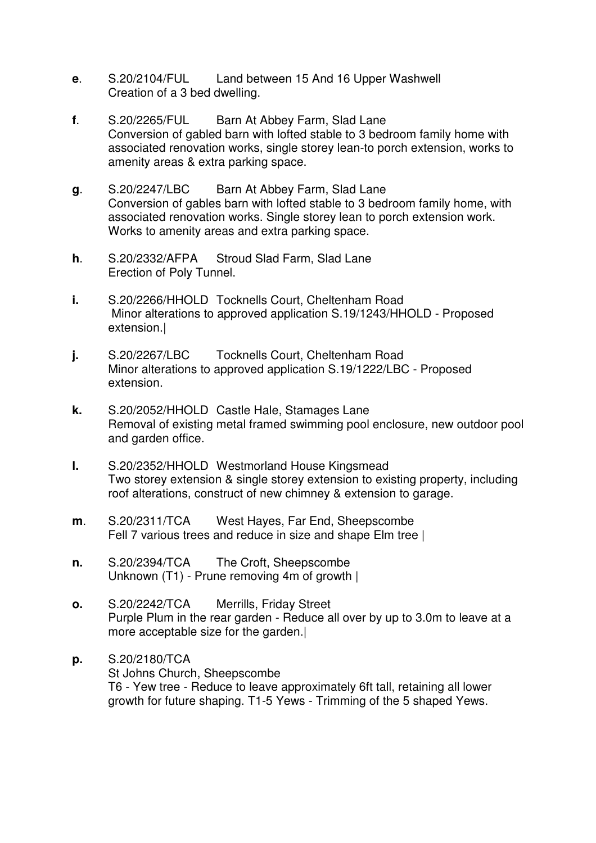- **e**. S.20/2104/FUL Land between 15 And 16 Upper Washwell Creation of a 3 bed dwelling.
- **f**. S.20/2265/FUL Barn At Abbey Farm, Slad Lane Conversion of gabled barn with lofted stable to 3 bedroom family home with associated renovation works, single storey lean-to porch extension, works to amenity areas & extra parking space.
- **g**. S.20/2247/LBC Barn At Abbey Farm, Slad Lane Conversion of gables barn with lofted stable to 3 bedroom family home, with associated renovation works. Single storey lean to porch extension work. Works to amenity areas and extra parking space.
- **h**. S.20/2332/AFPA Stroud Slad Farm, Slad Lane Erection of Poly Tunnel.
- **i.** S.20/2266/HHOLD Tocknells Court, Cheltenham Road Minor alterations to approved application S.19/1243/HHOLD - Proposed extension.|
- **j.** S.20/2267/LBC Tocknells Court, Cheltenham Road Minor alterations to approved application S.19/1222/LBC - Proposed extension.
- **k.** S.20/2052/HHOLD Castle Hale, Stamages Lane Removal of existing metal framed swimming pool enclosure, new outdoor pool and garden office.
- **l.** S.20/2352/HHOLD Westmorland House Kingsmead Two storey extension & single storey extension to existing property, including roof alterations, construct of new chimney & extension to garage.
- **m**. S.20/2311/TCA West Hayes, Far End, Sheepscombe Fell 7 various trees and reduce in size and shape Elm tree |
- **n.** S.20/2394/TCA The Croft, Sheepscombe Unknown (T1) - Prune removing 4m of growth |
- **o.** S.20/2242/TCA Merrills, Friday Street Purple Plum in the rear garden - Reduce all over by up to 3.0m to leave at a more acceptable size for the garden.|
- **p.** S.20/2180/TCA St Johns Church, Sheepscombe T6 - Yew tree - Reduce to leave approximately 6ft tall, retaining all lower growth for future shaping. T1-5 Yews - Trimming of the 5 shaped Yews.